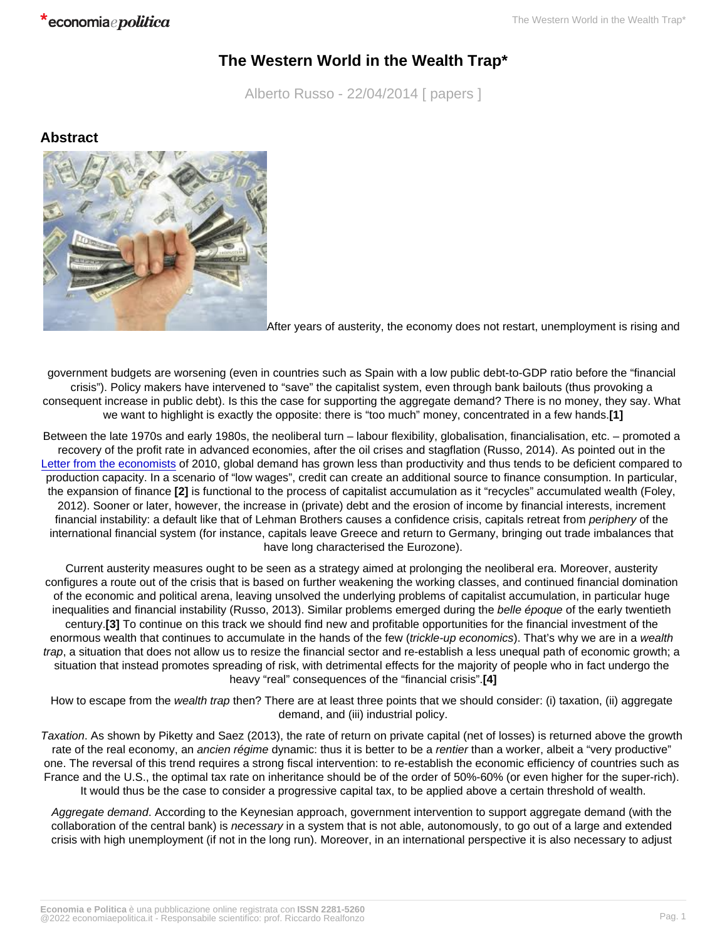## The Western World in the Wealth Trap\*

Alberto Russo - 22/04/2014 [ papers ]

Abstract

-

After years of austerity, the economy does not restart, unemployment is rising and

government budgets are worsening (even in countries such as Spain with a low public debt-to-GDP ratio before the "financial crisis"). Policy makers have intervened to "save" the capitalist system, even through bank bailouts (thus provoking a consequent increase in public debt). Is this the case for supporting the aggregate demand? There is no money, they say. What we want to highlight is exactly the opposite: there is "too much" money, concentrated in a few hands.[1]

Between the late 1970s and early 1980s, the neoliberal turn – labour flexibility, globalisation, financialisation, etc. – promoted a recovery of the profit rate in advanced economies, after the oil crises and stagflation (Russo, 2014). As pointed out in the [Letter from the economists](http://www.letteradeglieconomisti.it/) of 2010, global demand has grown less than productivity and thus tends to be deficient compared to production capacity. In a scenario of "low wages", credit can create an additional source to finance consumption. In particular, the expansion of finance [2] is functional to the process of capitalist accumulation as it "recycles" accumulated wealth (Foley, 2012). Sooner or later, however, the increase in (private) debt and the erosion of income by financial interests, increment financial instability: a default like that of Lehman Brothers causes a confidence crisis, capitals retreat from periphery of the international financial system (for instance, capitals leave Greece and return to Germany, bringing out trade imbalances that have long characterised the Eurozone).

Current austerity measures ought to be seen as a strategy aimed at prolonging the neoliberal era. Moreover, austerity configures a route out of the crisis that is based on further weakening the working classes, and continued financial domination of the economic and political arena, leaving unsolved the underlying problems of capitalist accumulation, in particular huge inequalities and financial instability (Russo, 2013). Similar problems emerged during the belle époque of the early twentieth century.[3] To continue on this track we should find new and profitable opportunities for the financial investment of the enormous wealth that continues to accumulate in the hands of the few (trickle-up economics). That's why we are in a wealth trap, a situation that does not allow us to resize the financial sector and re-establish a less unequal path of economic growth; a situation that instead promotes spreading of risk, with detrimental effects for the majority of people who in fact undergo the heavy "real" consequences of the "financial crisis".[4]

How to escape from the wealth trap then? There are at least three points that we should consider: (i) taxation, (ii) aggregate demand, and (iii) industrial policy.

Taxation. As shown by Piketty and Saez (2013), the rate of return on private capital (net of losses) is returned above the growth rate of the real economy, an ancien régime dynamic: thus it is better to be a rentier than a worker, albeit a "very productive" one. The reversal of this trend requires a strong fiscal intervention: to re-establish the economic efficiency of countries such as France and the U.S., the optimal tax rate on inheritance should be of the order of 50%-60% (or even higher for the super-rich). It would thus be the case to consider a progressive capital tax, to be applied above a certain threshold of wealth.

Aggregate demand. According to the Keynesian approach, government intervention to support aggregate demand (with the collaboration of the central bank) is necessary in a system that is not able, autonomously, to go out of a large and extended crisis with high unemployment (if not in the long run). Moreover, in an international perspective it is also necessary to adjust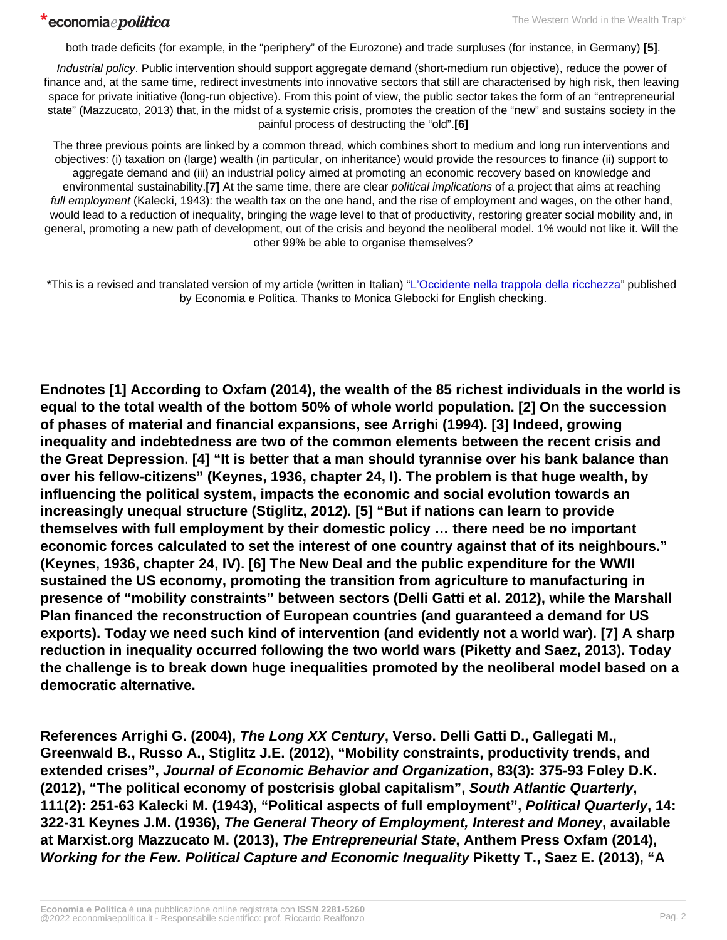both trade deficits (for example, in the "periphery" of the Eurozone) and trade surpluses (for instance, in Germany) [5].

Industrial policy. Public intervention should support aggregate demand (short-medium run objective), reduce the power of finance and, at the same time, redirect investments into innovative sectors that still are characterised by high risk, then leaving space for private initiative (long-run objective). From this point of view, the public sector takes the form of an "entrepreneurial state" (Mazzucato, 2013) that, in the midst of a systemic crisis, promotes the creation of the "new" and sustains society in the painful process of destructing the "old".[6]

The three previous points are linked by a common thread, which combines short to medium and long run interventions and objectives: (i) taxation on (large) wealth (in particular, on inheritance) would provide the resources to finance (ii) support to aggregate demand and (iii) an industrial policy aimed at promoting an economic recovery based on knowledge and environmental sustainability.[7] At the same time, there are clear political implications of a project that aims at reaching full employment (Kalecki, 1943): the wealth tax on the one hand, and the rise of employment and wages, on the other hand, would lead to a reduction of inequality, bringing the wage level to that of productivity, restoring greater social mobility and, in general, promoting a new path of development, out of the crisis and beyond the neoliberal model. 1% would not like it. Will the other 99% be able to organise themselves?

\*This is a revised and translated version of my article (written in Italian) "[L'Occidente nella trappola della ricchezza"](http://www.economiaepolitica.it/index.php/europa-e-mondo/loccidente-nella-trappola-della-ricchezza/#.U0admNFH7IU) published by Economia e Politica. Thanks to Monica Glebocki for English checking.

Endnotes [1] According to Oxfam (2014), the wealth of the 85 richest individuals in the world is equal to the total wealth of the bottom 50% of whole world population. [2] On the succession of phases of material and financial expansions, see Arrighi (1994). [3] Indeed, growing inequality and indebtedness are two of the common elements between the recent crisis and the Great Depression. [4] "It is better that a man should tyrannise over his bank balance than over his fellow-citizens" (Keynes, 1936, chapter 24, I). The problem is that huge wealth, by influencing the political system, impacts the economic and social evolution towards an increasingly unequal structure (Stiglitz, 2012). [5] "But if nations can learn to provide themselves with full employment by their domestic policy … there need be no important economic forces calculated to set the interest of one country against that of its neighbours." (Keynes, 1936, chapter 24, IV). [6] The New Deal and the public expenditure for the WWII sustained the US economy, promoting the transition from agriculture to manufacturing in presence of "mobility constraints" between sectors (Delli Gatti et al. 2012), while the Marshall Plan financed the reconstruction of European countries (and guaranteed a demand for US exports). Today we need such kind of intervention (and evidently not a world war). [7] A sharp reduction in inequality occurred following the two world wars (Piketty and Saez, 2013). Today the challenge is to break down huge inequalities promoted by the neoliberal model based on a democratic alternative.

References Arrighi G. (2004), The Long XX Century , Verso. Delli Gatti D., Gallegati M., Greenwald B., Russo A., Stiglitz J.E. (2012), "Mobility constraints, productivity trends, and extended crises", Journal of Economic Behavior and Organization , 83(3): 375-93 Foley D.K. (2012), "The political economy of postcrisis global capitalism", South Atlantic Quarterly 111(2): 251-63 Kalecki M. (1943), "Political aspects of full employment", Political Quarterly , 14: 322-31 Keynes J.M. (1936), The General Theory of Employment, Interest and Money , available at Marxist.org Mazzucato M. (2013), The Entrepreneurial State , Anthem Press Oxfam (2014), Working for the Few. Political Capture and Economic Inequality Piketty T., Saez E. (2013), "A